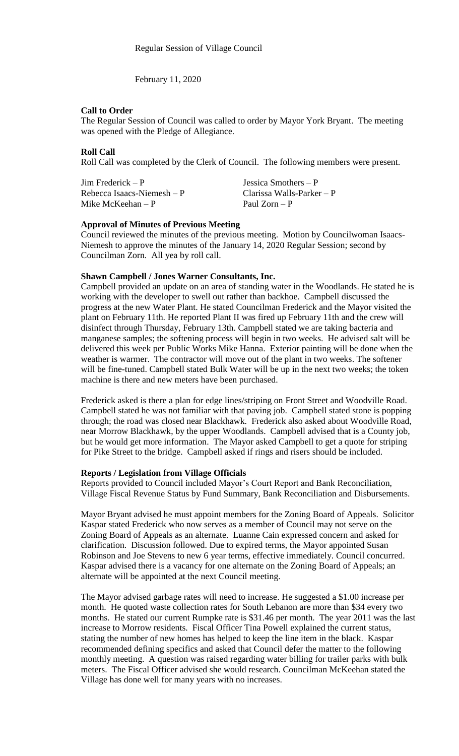February 11, 2020

#### **Call to Order**

The Regular Session of Council was called to order by Mayor York Bryant. The meeting was opened with the Pledge of Allegiance.

### **Roll Call**

Roll Call was completed by the Clerk of Council. The following members were present.

Jim Frederick – P Jessica Smothers – P Rebecca Isaacs-Niemesh – P Clarissa Walls-Parker – P<br>Mike McKeehan – P P Paul Zorn – P Mike McKeehan –  $P$ 

## **Approval of Minutes of Previous Meeting**

Council reviewed the minutes of the previous meeting. Motion by Councilwoman Isaacs-Niemesh to approve the minutes of the January 14, 2020 Regular Session; second by Councilman Zorn. All yea by roll call.

## **Shawn Campbell / Jones Warner Consultants, Inc.**

Campbell provided an update on an area of standing water in the Woodlands. He stated he is working with the developer to swell out rather than backhoe. Campbell discussed the progress at the new Water Plant. He stated Councilman Frederick and the Mayor visited the plant on February 11th. He reported Plant II was fired up February 11th and the crew will disinfect through Thursday, February 13th. Campbell stated we are taking bacteria and manganese samples; the softening process will begin in two weeks. He advised salt will be delivered this week per Public Works Mike Hanna. Exterior painting will be done when the weather is warmer. The contractor will move out of the plant in two weeks. The softener will be fine-tuned. Campbell stated Bulk Water will be up in the next two weeks; the token machine is there and new meters have been purchased.

Frederick asked is there a plan for edge lines/striping on Front Street and Woodville Road. Campbell stated he was not familiar with that paving job. Campbell stated stone is popping through; the road was closed near Blackhawk. Frederick also asked about Woodville Road, near Morrow Blackhawk, by the upper Woodlands. Campbell advised that is a County job, but he would get more information. The Mayor asked Campbell to get a quote for striping for Pike Street to the bridge. Campbell asked if rings and risers should be included.

#### **Reports / Legislation from Village Officials**

Reports provided to Council included Mayor's Court Report and Bank Reconciliation, Village Fiscal Revenue Status by Fund Summary, Bank Reconciliation and Disbursements.

Mayor Bryant advised he must appoint members for the Zoning Board of Appeals. Solicitor Kaspar stated Frederick who now serves as a member of Council may not serve on the Zoning Board of Appeals as an alternate. Luanne Cain expressed concern and asked for clarification. Discussion followed. Due to expired terms, the Mayor appointed Susan Robinson and Joe Stevens to new 6 year terms, effective immediately. Council concurred. Kaspar advised there is a vacancy for one alternate on the Zoning Board of Appeals; an alternate will be appointed at the next Council meeting.

The Mayor advised garbage rates will need to increase. He suggested a \$1.00 increase per month. He quoted waste collection rates for South Lebanon are more than \$34 every two months. He stated our current Rumpke rate is \$31.46 per month. The year 2011 was the last increase to Morrow residents. Fiscal Officer Tina Powell explained the current status, stating the number of new homes has helped to keep the line item in the black. Kaspar recommended defining specifics and asked that Council defer the matter to the following monthly meeting. A question was raised regarding water billing for trailer parks with bulk meters. The Fiscal Officer advised she would research. Councilman McKeehan stated the Village has done well for many years with no increases.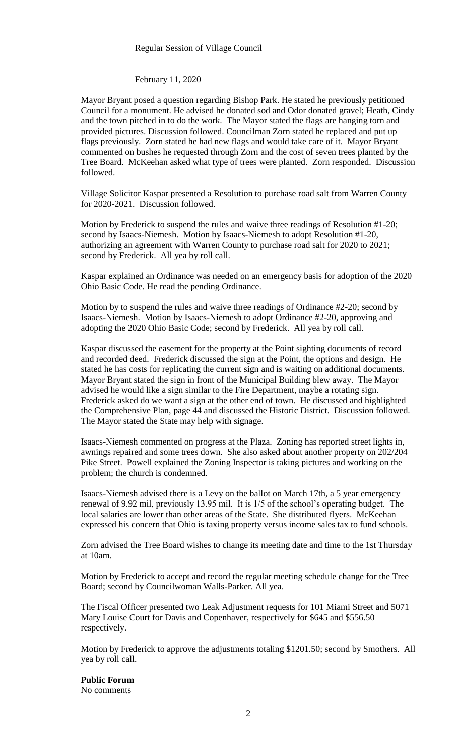#### Regular Session of Village Council

#### February 11, 2020

Mayor Bryant posed a question regarding Bishop Park. He stated he previously petitioned Council for a monument. He advised he donated sod and Odor donated gravel; Heath, Cindy and the town pitched in to do the work. The Mayor stated the flags are hanging torn and provided pictures. Discussion followed. Councilman Zorn stated he replaced and put up flags previously. Zorn stated he had new flags and would take care of it. Mayor Bryant commented on bushes he requested through Zorn and the cost of seven trees planted by the Tree Board. McKeehan asked what type of trees were planted. Zorn responded. Discussion followed.

Village Solicitor Kaspar presented a Resolution to purchase road salt from Warren County for 2020-2021. Discussion followed.

Motion by Frederick to suspend the rules and waive three readings of Resolution #1-20; second by Isaacs-Niemesh. Motion by Isaacs-Niemesh to adopt Resolution #1-20, authorizing an agreement with Warren County to purchase road salt for 2020 to 2021; second by Frederick. All yea by roll call.

Kaspar explained an Ordinance was needed on an emergency basis for adoption of the 2020 Ohio Basic Code. He read the pending Ordinance.

Motion by to suspend the rules and waive three readings of Ordinance #2-20; second by Isaacs-Niemesh. Motion by Isaacs-Niemesh to adopt Ordinance #2-20, approving and adopting the 2020 Ohio Basic Code; second by Frederick. All yea by roll call.

Kaspar discussed the easement for the property at the Point sighting documents of record and recorded deed. Frederick discussed the sign at the Point, the options and design. He stated he has costs for replicating the current sign and is waiting on additional documents. Mayor Bryant stated the sign in front of the Municipal Building blew away. The Mayor advised he would like a sign similar to the Fire Department, maybe a rotating sign. Frederick asked do we want a sign at the other end of town. He discussed and highlighted the Comprehensive Plan, page 44 and discussed the Historic District. Discussion followed. The Mayor stated the State may help with signage.

Isaacs-Niemesh commented on progress at the Plaza. Zoning has reported street lights in, awnings repaired and some trees down. She also asked about another property on 202/204 Pike Street. Powell explained the Zoning Inspector is taking pictures and working on the problem; the church is condemned.

Isaacs-Niemesh advised there is a Levy on the ballot on March 17th, a 5 year emergency renewal of 9.92 mil, previously 13.95 mil. It is 1/5 of the school's operating budget. The local salaries are lower than other areas of the State. She distributed flyers. McKeehan expressed his concern that Ohio is taxing property versus income sales tax to fund schools.

Zorn advised the Tree Board wishes to change its meeting date and time to the 1st Thursday at 10am.

Motion by Frederick to accept and record the regular meeting schedule change for the Tree Board; second by Councilwoman Walls-Parker. All yea.

The Fiscal Officer presented two Leak Adjustment requests for 101 Miami Street and 5071 Mary Louise Court for Davis and Copenhaver, respectively for \$645 and \$556.50 respectively.

Motion by Frederick to approve the adjustments totaling \$1201.50; second by Smothers. All yea by roll call.

**Public Forum**  No comments